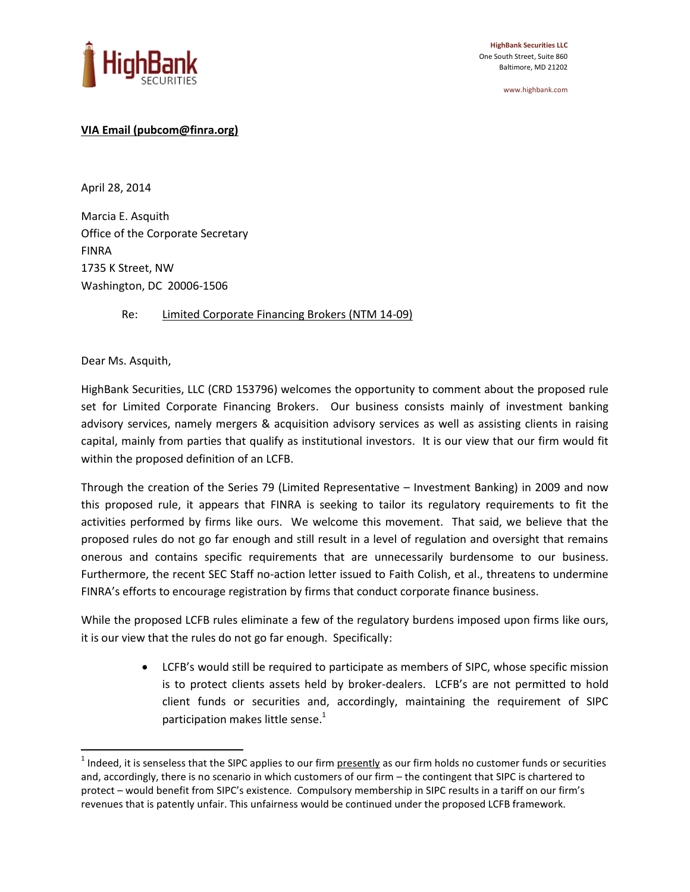

www.highbank.com

## **VIA Email (pubcom@finra.org)**

April 28, 2014

Marcia E. Asquith Office of the Corporate Secretary FINRA 1735 K Street, NW Washington, DC 20006-1506

Re: Limited Corporate Financing Brokers (NTM 14-09)

Dear Ms. Asquith,

 $\overline{a}$ 

HighBank Securities, LLC (CRD 153796) welcomes the opportunity to comment about the proposed rule set for Limited Corporate Financing Brokers. Our business consists mainly of investment banking advisory services, namely mergers & acquisition advisory services as well as assisting clients in raising capital, mainly from parties that qualify as institutional investors. It is our view that our firm would fit within the proposed definition of an LCFB.

Through the creation of the Series 79 (Limited Representative – Investment Banking) in 2009 and now this proposed rule, it appears that FINRA is seeking to tailor its regulatory requirements to fit the activities performed by firms like ours. We welcome this movement. That said, we believe that the proposed rules do not go far enough and still result in a level of regulation and oversight that remains onerous and contains specific requirements that are unnecessarily burdensome to our business. Furthermore, the recent SEC Staff no-action letter issued to Faith Colish, et al., threatens to undermine FINRA's efforts to encourage registration by firms that conduct corporate finance business.

While the proposed LCFB rules eliminate a few of the regulatory burdens imposed upon firms like ours, it is our view that the rules do not go far enough. Specifically:

> LCFB's would still be required to participate as members of SIPC, whose specific mission is to protect clients assets held by broker-dealers. LCFB's are not permitted to hold client funds or securities and, accordingly, maintaining the requirement of SIPC participation makes little sense.<sup>1</sup>

 $^1$  Indeed, it is senseless that the SIPC applies to our firm presently as our firm holds no customer funds or securities and, accordingly, there is no scenario in which customers of our firm – the contingent that SIPC is chartered to protect – would benefit from SIPC's existence. Compulsory membership in SIPC results in a tariff on our firm's revenues that is patently unfair. This unfairness would be continued under the proposed LCFB framework.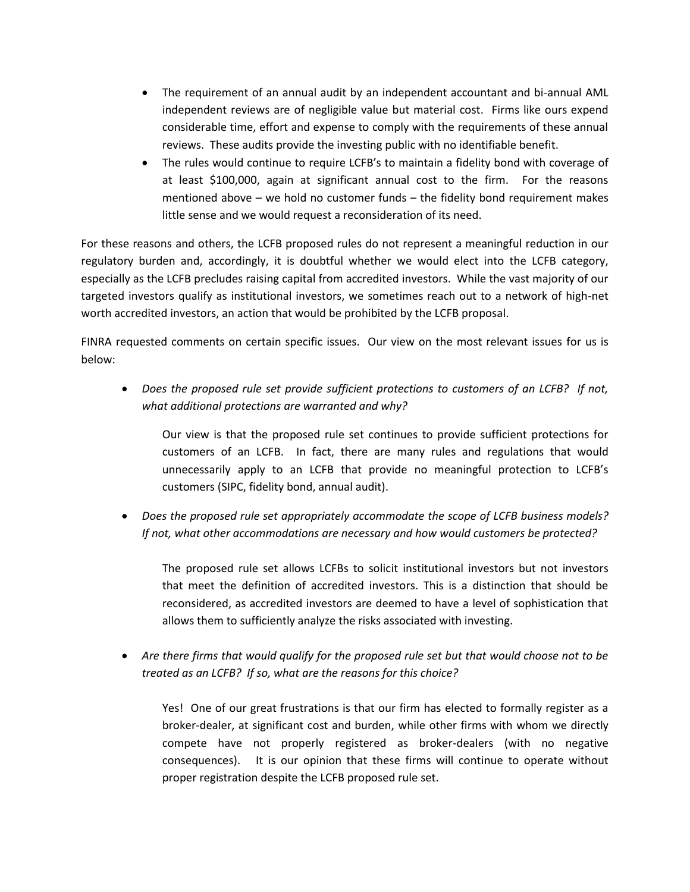- The requirement of an annual audit by an independent accountant and bi-annual AML independent reviews are of negligible value but material cost. Firms like ours expend considerable time, effort and expense to comply with the requirements of these annual reviews. These audits provide the investing public with no identifiable benefit.
- The rules would continue to require LCFB's to maintain a fidelity bond with coverage of at least \$100,000, again at significant annual cost to the firm. For the reasons mentioned above – we hold no customer funds – the fidelity bond requirement makes little sense and we would request a reconsideration of its need.

For these reasons and others, the LCFB proposed rules do not represent a meaningful reduction in our regulatory burden and, accordingly, it is doubtful whether we would elect into the LCFB category, especially as the LCFB precludes raising capital from accredited investors. While the vast majority of our targeted investors qualify as institutional investors, we sometimes reach out to a network of high-net worth accredited investors, an action that would be prohibited by the LCFB proposal.

FINRA requested comments on certain specific issues. Our view on the most relevant issues for us is below:

 *Does the proposed rule set provide sufficient protections to customers of an LCFB? If not, what additional protections are warranted and why?*

Our view is that the proposed rule set continues to provide sufficient protections for customers of an LCFB. In fact, there are many rules and regulations that would unnecessarily apply to an LCFB that provide no meaningful protection to LCFB's customers (SIPC, fidelity bond, annual audit).

 *Does the proposed rule set appropriately accommodate the scope of LCFB business models? If not, what other accommodations are necessary and how would customers be protected?*

The proposed rule set allows LCFBs to solicit institutional investors but not investors that meet the definition of accredited investors. This is a distinction that should be reconsidered, as accredited investors are deemed to have a level of sophistication that allows them to sufficiently analyze the risks associated with investing.

 *Are there firms that would qualify for the proposed rule set but that would choose not to be treated as an LCFB? If so, what are the reasons for this choice?*

Yes! One of our great frustrations is that our firm has elected to formally register as a broker-dealer, at significant cost and burden, while other firms with whom we directly compete have not properly registered as broker-dealers (with no negative consequences). It is our opinion that these firms will continue to operate without proper registration despite the LCFB proposed rule set.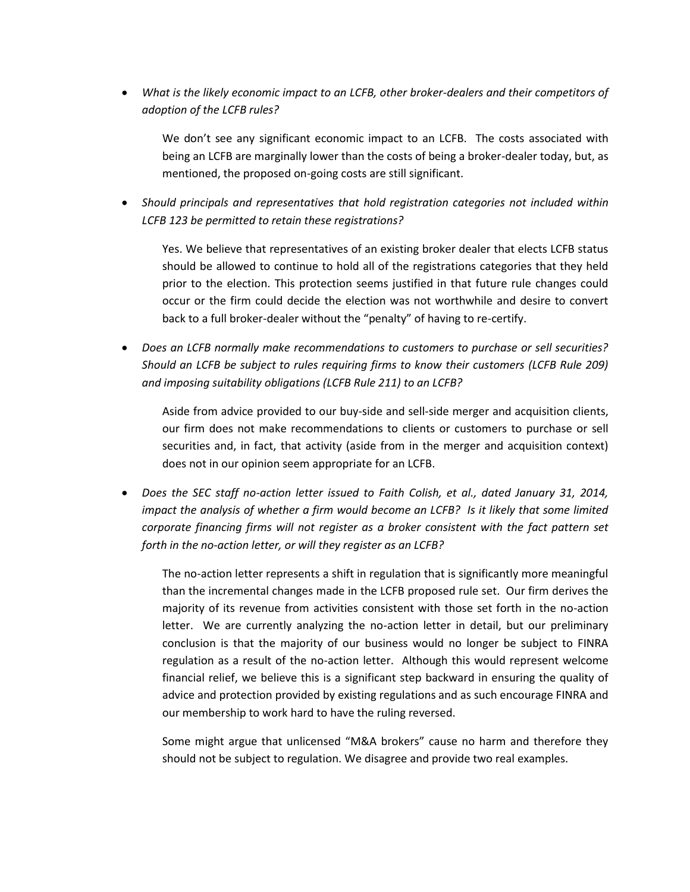*What is the likely economic impact to an LCFB, other broker-dealers and their competitors of adoption of the LCFB rules?*

We don't see any significant economic impact to an LCFB. The costs associated with being an LCFB are marginally lower than the costs of being a broker-dealer today, but, as mentioned, the proposed on-going costs are still significant.

 *Should principals and representatives that hold registration categories not included within LCFB 123 be permitted to retain these registrations?*

Yes. We believe that representatives of an existing broker dealer that elects LCFB status should be allowed to continue to hold all of the registrations categories that they held prior to the election. This protection seems justified in that future rule changes could occur or the firm could decide the election was not worthwhile and desire to convert back to a full broker-dealer without the "penalty" of having to re-certify.

 *Does an LCFB normally make recommendations to customers to purchase or sell securities? Should an LCFB be subject to rules requiring firms to know their customers (LCFB Rule 209) and imposing suitability obligations (LCFB Rule 211) to an LCFB?*

Aside from advice provided to our buy-side and sell-side merger and acquisition clients, our firm does not make recommendations to clients or customers to purchase or sell securities and, in fact, that activity (aside from in the merger and acquisition context) does not in our opinion seem appropriate for an LCFB.

 *Does the SEC staff no-action letter issued to Faith Colish, et al., dated January 31, 2014, impact the analysis of whether a firm would become an LCFB? Is it likely that some limited corporate financing firms will not register as a broker consistent with the fact pattern set forth in the no-action letter, or will they register as an LCFB?*

The no-action letter represents a shift in regulation that is significantly more meaningful than the incremental changes made in the LCFB proposed rule set. Our firm derives the majority of its revenue from activities consistent with those set forth in the no-action letter. We are currently analyzing the no-action letter in detail, but our preliminary conclusion is that the majority of our business would no longer be subject to FINRA regulation as a result of the no-action letter. Although this would represent welcome financial relief, we believe this is a significant step backward in ensuring the quality of advice and protection provided by existing regulations and as such encourage FINRA and our membership to work hard to have the ruling reversed.

Some might argue that unlicensed "M&A brokers" cause no harm and therefore they should not be subject to regulation. We disagree and provide two real examples.